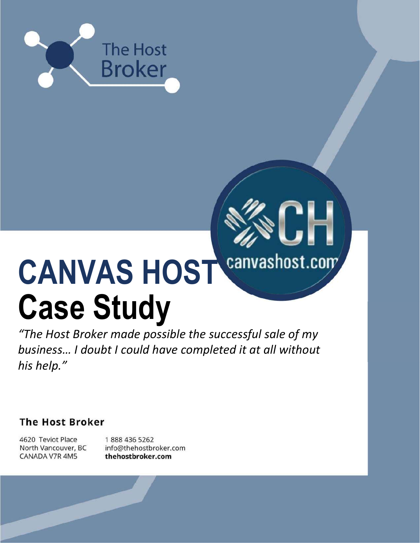

# CANVAS HOST Canvashost.com Case Study

H

"The Host Broker made possible the successful sale of my business… I doubt I could have completed it at all without his help."

**The Host Broker** 

4620 Teviot Place North Vancouver, BC CANADA V7R 4M5

1888 436 5262 info@thehostbroker.com thehostbroker.com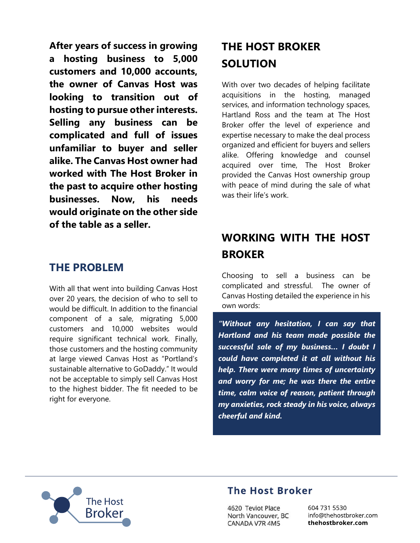After years of success in growing a hosting business to 5,000 customers and 10,000 accounts, the owner of Canvas Host was looking to transition out of hosting to pursue other interests. Selling any business can be complicated and full of issues unfamiliar to buyer and seller alike. The Canvas Host owner had worked with The Host Broker in the past to acquire other hosting businesses. Now, his needs would originate on the other side of the table as a seller.

## THE PROBLEM

With all that went into building Canvas Host over 20 years, the decision of who to sell to would be difficult. In addition to the financial component of a sale, migrating 5,000 customers and 10,000 websites would require significant technical work. Finally, those customers and the hosting community at large viewed Canvas Host as "Portland's sustainable alternative to GoDaddy." It would not be acceptable to simply sell Canvas Host to the highest bidder. The fit needed to be right for everyone.

## THE HOST BROKER **SOLUTION**

With over two decades of helping facilitate acquisitions in the hosting, managed services, and information technology spaces, Hartland Ross and the team at The Host Broker offer the level of experience and expertise necessary to make the deal process organized and efficient for buyers and sellers alike. Offering knowledge and counsel acquired over time, The Host Broker provided the Canvas Host ownership group with peace of mind during the sale of what was their life's work.

# WORKING WITH THE HOST BROKER

Choosing to sell a business can be complicated and stressful. The owner of Canvas Hosting detailed the experience in his own words:

"Without any hesitation, I can say that Hartland and his team made possible the successful sale of my business… I doubt I could have completed it at all without his help. There were many times of uncertainty and worry for me; he was there the entire time, calm voice of reason, patient through my anxieties, rock steady in his voice, always cheerful and kind.



#### **The Host Broker**

4620 Teviot Place North Vancouver, BC CANADA V7R 4M5

604 731 5530 info@thehostbroker.com thehostbroker.com